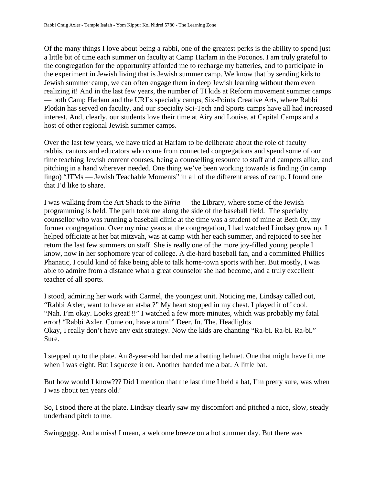Of the many things I love about being a rabbi, one of the greatest perks is the ability to spend just a little bit of time each summer on faculty at Camp Harlam in the Poconos. I am truly grateful to the congregation for the opportunity afforded me to recharge my batteries, and to participate in the experiment in Jewish living that is Jewish summer camp. We know that by sending kids to Jewish summer camp, we can often engage them in deep Jewish learning without them even realizing it! And in the last few years, the number of TI kids at Reform movement summer camps — both Camp Harlam and the URJ's specialty camps, Six-Points Creative Arts, where Rabbi Plotkin has served on faculty, and our specialty Sci-Tech and Sports camps have all had increased interest. And, clearly, our students love their time at Airy and Louise, at Capital Camps and a host of other regional Jewish summer camps.

Over the last few years, we have tried at Harlam to be deliberate about the role of faculty rabbis, cantors and educators who come from connected congregations and spend some of our time teaching Jewish content courses, being a counselling resource to staff and campers alike, and pitching in a hand wherever needed. One thing we've been working towards is finding (in camp lingo) "JTMs — Jewish Teachable Moments" in all of the different areas of camp. I found one that I'd like to share.

I was walking from the Art Shack to the *Sifria* — the Library, where some of the Jewish programming is held. The path took me along the side of the baseball field. The specialty counsellor who was running a baseball clinic at the time was a student of mine at Beth Or, my former congregation. Over my nine years at the congregation, I had watched Lindsay grow up. I helped officiate at her bat mitzvah, was at camp with her each summer, and rejoiced to see her return the last few summers on staff. She is really one of the more joy-filled young people I know, now in her sophomore year of college. A die-hard baseball fan, and a committed Phillies Phanatic, I could kind of fake being able to talk home-town sports with her. But mostly, I was able to admire from a distance what a great counselor she had become, and a truly excellent teacher of all sports.

I stood, admiring her work with Carmel, the youngest unit. Noticing me, Lindsay called out, "Rabbi Axler, want to have an at-bat?" My heart stopped in my chest. I played it off cool. "Nah. I'm okay. Looks great!!!" I watched a few more minutes, which was probably my fatal error! "Rabbi Axler. Come on, have a turn!" Deer. In. The. Headlights. Okay, I really don't have any exit strategy. Now the kids are chanting "Ra-bi. Ra-bi. Ra-bi." Sure.

I stepped up to the plate. An 8-year-old handed me a batting helmet. One that might have fit me when I was eight. But I squeeze it on. Another handed me a bat. A little bat.

But how would I know??? Did I mention that the last time I held a bat, I'm pretty sure, was when I was about ten years old?

So, I stood there at the plate. Lindsay clearly saw my discomfort and pitched a nice, slow, steady underhand pitch to me.

Swinggggg. And a miss! I mean, a welcome breeze on a hot summer day. But there was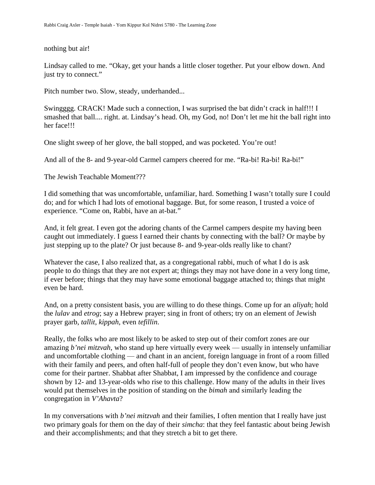## nothing but air!

Lindsay called to me. "Okay, get your hands a little closer together. Put your elbow down. And just try to connect."

Pitch number two. Slow, steady, underhanded...

Swingggg. CRACK! Made such a connection, I was surprised the bat didn't crack in half!!! I smashed that ball.... right. at. Lindsay's head. Oh, my God, no! Don't let me hit the ball right into her face!!!

One slight sweep of her glove, the ball stopped, and was pocketed. You're out!

And all of the 8- and 9-year-old Carmel campers cheered for me. "Ra-bi! Ra-bi! Ra-bi!"

The Jewish Teachable Moment???

I did something that was uncomfortable, unfamiliar, hard. Something I wasn't totally sure I could do; and for which I had lots of emotional baggage. But, for some reason, I trusted a voice of experience. "Come on, Rabbi, have an at-bat."

And, it felt great. I even got the adoring chants of the Carmel campers despite my having been caught out immediately. I guess I earned their chants by connecting with the ball? Or maybe by just stepping up to the plate? Or just because 8- and 9-year-olds really like to chant?

Whatever the case, I also realized that, as a congregational rabbi, much of what I do is ask people to do things that they are not expert at; things they may not have done in a very long time, if ever before; things that they may have some emotional baggage attached to; things that might even be hard.

And, on a pretty consistent basis, you are willing to do these things. Come up for an *aliyah*; hold the *lulav* and *etrog*; say a Hebrew prayer; sing in front of others; try on an element of Jewish prayer garb, *tallit*, *kippah*, even *tefillin*.

Really, the folks who are most likely to be asked to step out of their comfort zones are our amazing *b'nei mitzvah*, who stand up here virtually every week — usually in intensely unfamiliar and uncomfortable clothing — and chant in an ancient, foreign language in front of a room filled with their family and peers, and often half-full of people they don't even know, but who have come for their partner. Shabbat after Shabbat, I am impressed by the confidence and courage shown by 12- and 13-year-olds who rise to this challenge. How many of the adults in their lives would put themselves in the position of standing on the *bimah* and similarly leading the congregation in *V'Ahavta*?

In my conversations with *b'nei mitzvah* and their families, I often mention that I really have just two primary goals for them on the day of their *simcha*: that they feel fantastic about being Jewish and their accomplishments; and that they stretch a bit to get there.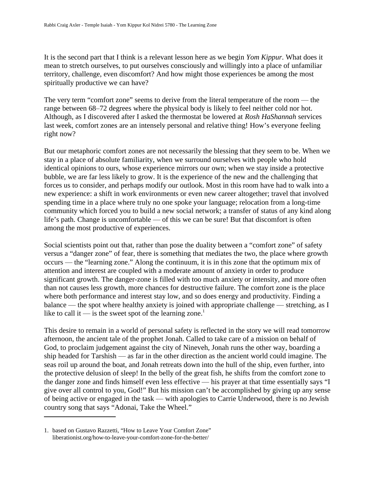It is the second part that I think is a relevant lesson here as we begin *Yom Kippur*. What does it mean to stretch ourselves, to put ourselves consciously and willingly into a place of unfamiliar territory, challenge, even discomfort? And how might those experiences be among the most spiritually productive we can have?

The very term "comfort zone" seems to derive from the literal temperature of the room — the range between 68–72 degrees where the physical body is likely to feel neither cold nor hot. Although, as I discovered after I asked the thermostat be lowered at *Rosh HaShannah* services last week, comfort zones are an intensely personal and relative thing! How's everyone feeling right now?

But our metaphoric comfort zones are not necessarily the blessing that they seem to be. When we stay in a place of absolute familiarity, when we surround ourselves with people who hold identical opinions to ours, whose experience mirrors our own; when we stay inside a protective bubble, we are far less likely to grow. It is the experience of the new and the challenging that forces us to consider, and perhaps modify our outlook. Most in this room have had to walk into a new experience: a shift in work environments or even new career altogether; travel that involved spending time in a place where truly no one spoke your language; relocation from a long-time community which forced you to build a new social network; a transfer of status of any kind along life's path. Change is uncomfortable — of this we can be sure! But that discomfort is often among the most productive of experiences.

Social scientists point out that, rather than pose the duality between a "comfort zone" of safety versus a "danger zone" of fear, there is something that mediates the two, the place where growth occurs — the "learning zone." Along the continuum, it is in this zone that the optimum mix of attention and interest are coupled with a moderate amount of anxiety in order to produce significant growth. The danger-zone is filled with too much anxiety or intensity, and more often than not causes less growth, more chances for destructive failure. The comfort zone is the place where both performance and interest stay low, and so does energy and productivity. Finding a balance — the spot where healthy anxiety is joined with appropriate challenge — stretching, as I like to call it — is the sweet spot of the learning zone.<sup>1</sup>

This desire to remain in a world of personal safety is reflected in the story we will read tomorrow afternoon, the ancient tale of the prophet Jonah. Called to take care of a mission on behalf of God, to proclaim judgement against the city of Nineveh, Jonah runs the other way, boarding a ship headed for Tarshish — as far in the other direction as the ancient world could imagine. The seas roil up around the boat, and Jonah retreats down into the hull of the ship, even further, into the protective delusion of sleep! In the belly of the great fish, he shifts from the comfort zone to the danger zone and finds himself even less effective — his prayer at that time essentially says "I give over all control to you, God!" But his mission can't be accomplished by giving up any sense of being active or engaged in the task — with apologies to Carrie Underwood, there is no Jewish country song that says "Adonai, Take the Wheel."

<sup>1.</sup> based on Gustavo Razzetti, "How to Leave Your Comfort Zone" liberationist.org/how-to-leave-your-comfort-zone-for-the-better/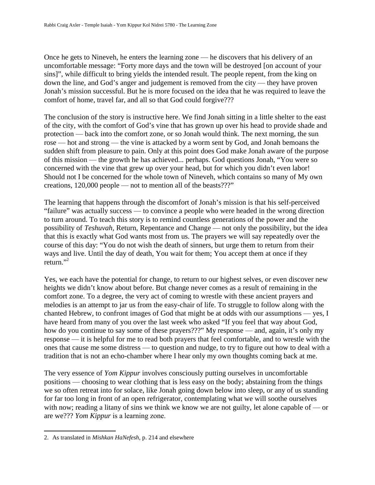Once he gets to Nineveh, he enters the learning zone — he discovers that his delivery of an uncomfortable message: "Forty more days and the town will be destroyed [on account of your sins]", while difficult to bring yields the intended result. The people repent, from the king on down the line, and God's anger and judgement is removed from the city — they have proven Jonah's mission successful. But he is more focused on the idea that he was required to leave the comfort of home, travel far, and all so that God could forgive???

The conclusion of the story is instructive here. We find Jonah sitting in a little shelter to the east of the city, with the comfort of God's vine that has grown up over his head to provide shade and protection — back into the comfort zone, or so Jonah would think. The next morning, the sun rose — hot and strong — the vine is attacked by a worm sent by God, and Jonah bemoans the sudden shift from pleasure to pain. Only at this point does God make Jonah aware of the purpose of this mission — the growth he has achieved... perhaps. God questions Jonah, "You were so concerned with the vine that grew up over your head, but for which you didn't even labor! Should not I be concerned for the whole town of Nineveh, which contains so many of My own creations, 120,000 people — not to mention all of the beasts???"

The learning that happens through the discomfort of Jonah's mission is that his self-perceived "failure" was actually success — to convince a people who were headed in the wrong direction to turn around. To teach this story is to remind countless generations of the power and the possibility of *Teshuvah,* Return, Repentance and Change — not only the possibility, but the idea that this is exactly what God wants most from us. The prayers we will say repeatedly over the course of this day: "You do not wish the death of sinners, but urge them to return from their ways and live. Until the day of death, You wait for them; You accept them at once if they return." $^2$ 

Yes, we each have the potential for change, to return to our highest selves, or even discover new heights we didn't know about before. But change never comes as a result of remaining in the comfort zone. To a degree, the very act of coming to wrestle with these ancient prayers and melodies is an attempt to jar us from the easy-chair of life. To struggle to follow along with the chanted Hebrew, to confront images of God that might be at odds with our assumptions — yes, I have heard from many of you over the last week who asked "If you feel that way about God, how do you continue to say some of these prayers???" My response — and, again, it's only my response — it is helpful for me to read both prayers that feel comfortable, and to wrestle with the ones that cause me some distress — to question and nudge, to try to figure out how to deal with a tradition that is not an echo-chamber where I hear only my own thoughts coming back at me.

The very essence of *Yom Kippur* involves consciously putting ourselves in uncomfortable positions — choosing to wear clothing that is less easy on the body; abstaining from the things we so often retreat into for solace, like Jonah going down below into sleep, or any of us standing for far too long in front of an open refrigerator, contemplating what we will soothe ourselves with now; reading a litany of sins we think we know we are not guilty, let alone capable of — or are we??? *Yom Kippur* is a learning zone.

<sup>2.</sup> As translated in *Mishkan HaNefesh*, p. 214 and elsewhere